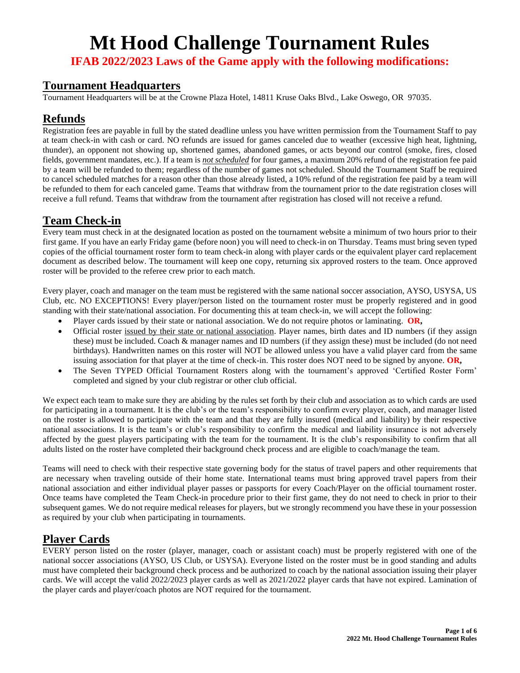**IFAB 2022/2023 Laws of the Game apply with the following modifications:**

#### **Tournament Headquarters**

Tournament Headquarters will be at the Crowne Plaza Hotel, 14811 Kruse Oaks Blvd., Lake Oswego, OR 97035.

# **Refunds**

Registration fees are payable in full by the stated deadline unless you have written permission from the Tournament Staff to pay at team check-in with cash or card. NO refunds are issued for games canceled due to weather (excessive high heat, lightning, thunder), an opponent not showing up, shortened games, abandoned games, or acts beyond our control (smoke, fires, closed fields, government mandates, etc.). If a team is *not scheduled* for four games, a maximum 20% refund of the registration fee paid by a team will be refunded to them; regardless of the number of games not scheduled. Should the Tournament Staff be required to cancel scheduled matches for a reason other than those already listed, a 10% refund of the registration fee paid by a team will be refunded to them for each canceled game. Teams that withdraw from the tournament prior to the date registration closes will receive a full refund. Teams that withdraw from the tournament after registration has closed will not receive a refund.

# **Team Check-in**

Every team must check in at the designated location as posted on the tournament website a minimum of two hours prior to their first game. If you have an early Friday game (before noon) you will need to check-in on Thursday. Teams must bring seven typed copies of the official tournament roster form to team check-in along with player cards or the equivalent player card replacement document as described below. The tournament will keep one copy, returning six approved rosters to the team. Once approved roster will be provided to the referee crew prior to each match.

Every player, coach and manager on the team must be registered with the same national soccer association, AYSO, USYSA, US Club, etc. NO EXCEPTIONS! Every player/person listed on the tournament roster must be properly registered and in good standing with their state/national association. For documenting this at team check-in, we will accept the following:

- Player cards issued by their state or national association. We do not require photos or laminating. **OR,**
- Official roster issued by their state or national association. Player names, birth dates and ID numbers (if they assign these) must be included. Coach & manager names and ID numbers (if they assign these) must be included (do not need birthdays). Handwritten names on this roster will NOT be allowed unless you have a valid player card from the same issuing association for that player at the time of check-in. This roster does NOT need to be signed by anyone. **OR,**
- The Seven TYPED Official Tournament Rosters along with the tournament's approved 'Certified Roster Form' completed and signed by your club registrar or other club official.

We expect each team to make sure they are abiding by the rules set forth by their club and association as to which cards are used for participating in a tournament. It is the club's or the team's responsibility to confirm every player, coach, and manager listed on the roster is allowed to participate with the team and that they are fully insured (medical and liability) by their respective national associations. It is the team's or club's responsibility to confirm the medical and liability insurance is not adversely affected by the guest players participating with the team for the tournament. It is the club's responsibility to confirm that all adults listed on the roster have completed their background check process and are eligible to coach/manage the team.

Teams will need to check with their respective state governing body for the status of travel papers and other requirements that are necessary when traveling outside of their home state. International teams must bring approved travel papers from their national association and either individual player passes or passports for every Coach/Player on the official tournament roster. Once teams have completed the Team Check-in procedure prior to their first game, they do not need to check in prior to their subsequent games. We do not require medical releases for players, but we strongly recommend you have these in your possession as required by your club when participating in tournaments.

## **Player Cards**

EVERY person listed on the roster (player, manager, coach or assistant coach) must be properly registered with one of the national soccer associations (AYSO, US Club, or USYSA). Everyone listed on the roster must be in good standing and adults must have completed their background check process and be authorized to coach by the national association issuing their player cards. We will accept the valid 2022/2023 player cards as well as 2021/2022 player cards that have not expired. Lamination of the player cards and player/coach photos are NOT required for the tournament.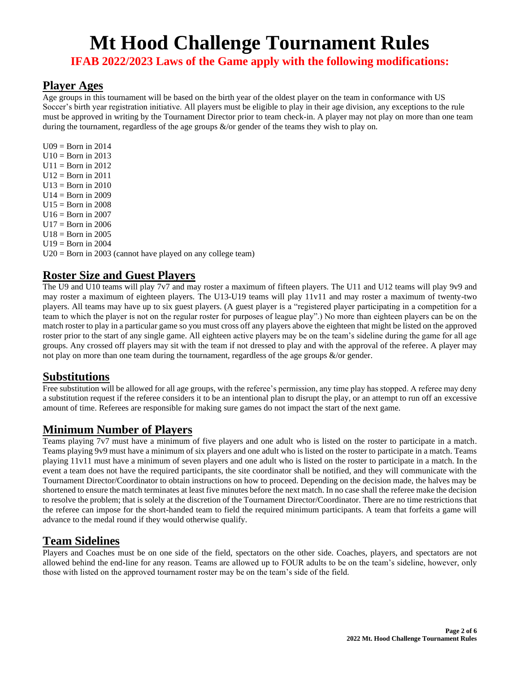**IFAB 2022/2023 Laws of the Game apply with the following modifications:**

#### **Player Ages**

Age groups in this tournament will be based on the birth year of the oldest player on the team in conformance with US Soccer's birth year registration initiative. All players must be eligible to play in their age division, any exceptions to the rule must be approved in writing by the Tournament Director prior to team check-in. A player may not play on more than one team during the tournament, regardless of the age groups &/or gender of the teams they wish to play on.

 $U09 = Born$  in 2014  $U10 = Born$  in 2013  $U11 = Born$  in 2012  $U12 = Born in 2011$  $U13 = Born$  in 2010  $U14 = Born$  in 2009  $U15 = Born$  in 2008  $U16 = Born$  in 2007  $U17 = Born$  in 2006  $U18 = Born$  in 2005  $U19 = Born$  in 2004 U20 = Born in 2003 (cannot have played on any college team)

# **Roster Size and Guest Players**

The U9 and U10 teams will play 7v7 and may roster a maximum of fifteen players. The U11 and U12 teams will play 9v9 and may roster a maximum of eighteen players. The U13-U19 teams will play 11v11 and may roster a maximum of twenty-two players. All teams may have up to six guest players. (A guest player is a "registered player participating in a competition for a team to which the player is not on the regular roster for purposes of league play".) No more than eighteen players can be on the match roster to play in a particular game so you must cross off any players above the eighteen that might be listed on the approved roster prior to the start of any single game. All eighteen active players may be on the team's sideline during the game for all age groups. Any crossed off players may sit with the team if not dressed to play and with the approval of the referee. A player may not play on more than one team during the tournament, regardless of the age groups &/or gender.

## **Substitutions**

Free substitution will be allowed for all age groups, with the referee's permission, any time play has stopped. A referee may deny a substitution request if the referee considers it to be an intentional plan to disrupt the play, or an attempt to run off an excessive amount of time. Referees are responsible for making sure games do not impact the start of the next game.

## **Minimum Number of Players**

Teams playing 7v7 must have a minimum of five players and one adult who is listed on the roster to participate in a match. Teams playing 9v9 must have a minimum of six players and one adult who is listed on the roster to participate in a match. Teams playing 11v11 must have a minimum of seven players and one adult who is listed on the roster to participate in a match. In the event a team does not have the required participants, the site coordinator shall be notified, and they will communicate with the Tournament Director/Coordinator to obtain instructions on how to proceed. Depending on the decision made, the halves may be shortened to ensure the match terminates at least five minutes before the next match. In no case shall the referee make the decision to resolve the problem; that is solely at the discretion of the Tournament Director/Coordinator. There are no time restrictions that the referee can impose for the short-handed team to field the required minimum participants. A team that forfeits a game will advance to the medal round if they would otherwise qualify.

## **Team Sidelines**

Players and Coaches must be on one side of the field, spectators on the other side. Coaches, players, and spectators are not allowed behind the end-line for any reason. Teams are allowed up to FOUR adults to be on the team's sideline, however, only those with listed on the approved tournament roster may be on the team's side of the field.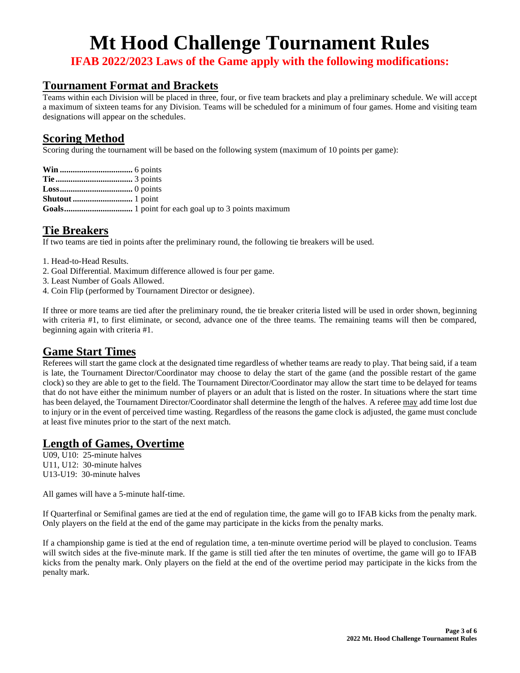**IFAB 2022/2023 Laws of the Game apply with the following modifications:**

### **Tournament Format and Brackets**

Teams within each Division will be placed in three, four, or five team brackets and play a preliminary schedule. We will accept a maximum of sixteen teams for any Division. Teams will be scheduled for a minimum of four games. Home and visiting team designations will appear on the schedules.

#### **Scoring Method**

Scoring during the tournament will be based on the following system (maximum of 10 points per game):

# **Tie Breakers**

If two teams are tied in points after the preliminary round, the following tie breakers will be used.

- 1. Head-to-Head Results.
- 2. Goal Differential. Maximum difference allowed is four per game.
- 3. Least Number of Goals Allowed.
- 4. Coin Flip (performed by Tournament Director or designee).

If three or more teams are tied after the preliminary round, the tie breaker criteria listed will be used in order shown, beginning with criteria #1, to first eliminate, or second, advance one of the three teams. The remaining teams will then be compared, beginning again with criteria #1.

#### **Game Start Times**

Referees will start the game clock at the designated time regardless of whether teams are ready to play. That being said, if a team is late, the Tournament Director/Coordinator may choose to delay the start of the game (and the possible restart of the game clock) so they are able to get to the field. The Tournament Director/Coordinator may allow the start time to be delayed for teams that do not have either the minimum number of players or an adult that is listed on the roster. In situations where the start time has been delayed, the Tournament Director/Coordinator shall determine the length of the halves. A referee may add time lost due to injury or in the event of perceived time wasting. Regardless of the reasons the game clock is adjusted, the game must conclude at least five minutes prior to the start of the next match.

# **Length of Games, Overtime**

U09, U10: 25-minute halves U11, U12: 30-minute halves U13-U19: 30-minute halves

All games will have a 5-minute half-time.

If Quarterfinal or Semifinal games are tied at the end of regulation time, the game will go to IFAB kicks from the penalty mark. Only players on the field at the end of the game may participate in the kicks from the penalty marks.

If a championship game is tied at the end of regulation time, a ten-minute overtime period will be played to conclusion. Teams will switch sides at the five-minute mark. If the game is still tied after the ten minutes of overtime, the game will go to IFAB kicks from the penalty mark. Only players on the field at the end of the overtime period may participate in the kicks from the penalty mark.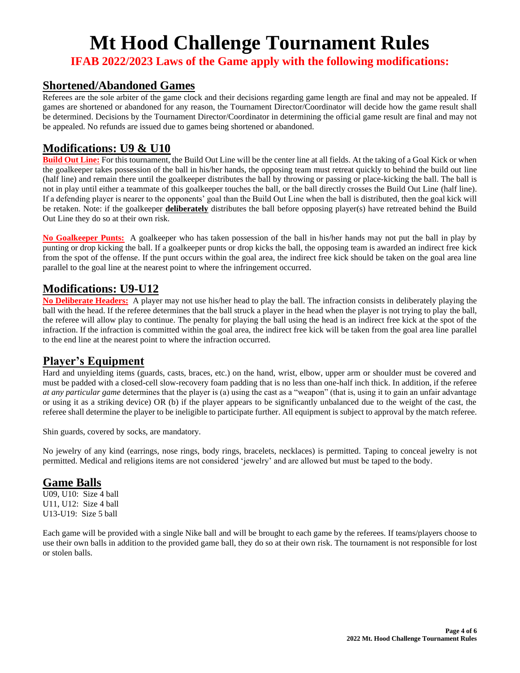**IFAB 2022/2023 Laws of the Game apply with the following modifications:**

#### **Shortened/Abandoned Games**

Referees are the sole arbiter of the game clock and their decisions regarding game length are final and may not be appealed. If games are shortened or abandoned for any reason, the Tournament Director/Coordinator will decide how the game result shall be determined. Decisions by the Tournament Director/Coordinator in determining the official game result are final and may not be appealed. No refunds are issued due to games being shortened or abandoned.

## **Modifications: U9 & U10**

**Build Out Line:** For this tournament, the Build Out Line will be the center line at all fields. At the taking of a Goal Kick or when the goalkeeper takes possession of the ball in his/her hands, the opposing team must retreat quickly to behind the build out line (half line) and remain there until the goalkeeper distributes the ball by throwing or passing or place-kicking the ball. The ball is not in play until either a teammate of this goalkeeper touches the ball, or the ball directly crosses the Build Out Line (half line). If a defending player is nearer to the opponents' goal than the Build Out Line when the ball is distributed, then the goal kick will be retaken. Note: if the goalkeeper **deliberately** distributes the ball before opposing player(s) have retreated behind the Build Out Line they do so at their own risk.

**No Goalkeeper Punts:** A goalkeeper who has taken possession of the ball in his/her hands may not put the ball in play by punting or drop kicking the ball. If a goalkeeper punts or drop kicks the ball, the opposing team is awarded an indirect free kick from the spot of the offense. If the punt occurs within the goal area, the indirect free kick should be taken on the goal area line parallel to the goal line at the nearest point to where the infringement occurred.

## **Modifications: U9-U12**

**No Deliberate Headers:** A player may not use his/her head to play the ball. The infraction consists in deliberately playing the ball with the head. If the referee determines that the ball struck a player in the head when the player is not trying to play the ball, the referee will allow play to continue. The penalty for playing the ball using the head is an indirect free kick at the spot of the infraction. If the infraction is committed within the goal area, the indirect free kick will be taken from the goal area line parallel to the end line at the nearest point to where the infraction occurred.

## **Player's Equipment**

Hard and unyielding items (guards, casts, braces, etc.) on the hand, wrist, elbow, upper arm or shoulder must be covered and must be padded with a closed-cell slow-recovery foam padding that is no less than one-half inch thick. In addition, if the referee *at any particular game* determines that the player is (a) using the cast as a "weapon" (that is, using it to gain an unfair advantage or using it as a striking device) OR (b) if the player appears to be significantly unbalanced due to the weight of the cast, the referee shall determine the player to be ineligible to participate further. All equipment is subject to approval by the match referee.

Shin guards, covered by socks, are mandatory.

No jewelry of any kind (earrings, nose rings, body rings, bracelets, necklaces) is permitted. Taping to conceal jewelry is not permitted. Medical and religions items are not considered 'jewelry' and are allowed but must be taped to the body.

## **Game Balls**

U09, U10: Size 4 ball U11, U12: Size 4 ball U13-U19: Size 5 ball

Each game will be provided with a single Nike ball and will be brought to each game by the referees. If teams/players choose to use their own balls in addition to the provided game ball, they do so at their own risk. The tournament is not responsible for lost or stolen balls.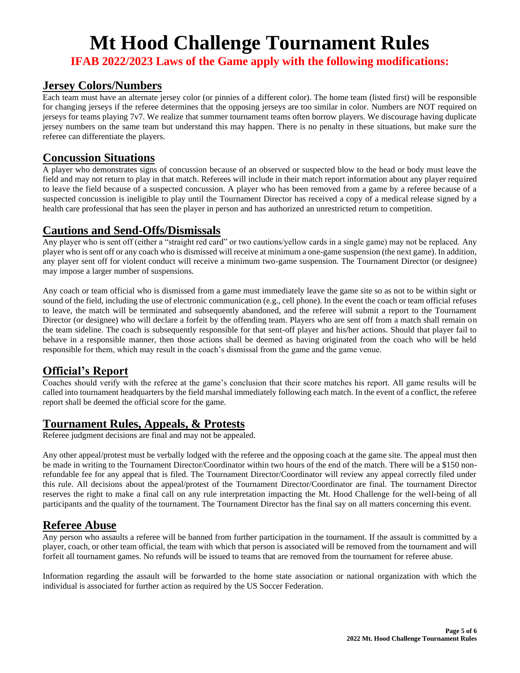**IFAB 2022/2023 Laws of the Game apply with the following modifications:**

#### **Jersey Colors/Numbers**

Each team must have an alternate jersey color (or pinnies of a different color). The home team (listed first) will be responsible for changing jerseys if the referee determines that the opposing jerseys are too similar in color. Numbers are NOT required on jerseys for teams playing 7v7. We realize that summer tournament teams often borrow players. We discourage having duplicate jersey numbers on the same team but understand this may happen. There is no penalty in these situations, but make sure the referee can differentiate the players.

#### **Concussion Situations**

A player who demonstrates signs of concussion because of an observed or suspected blow to the head or body must leave the field and may not return to play in that match. Referees will include in their match report information about any player required to leave the field because of a suspected concussion. A player who has been removed from a game by a referee because of a suspected concussion is ineligible to play until the Tournament Director has received a copy of a medical release signed by a health care professional that has seen the player in person and has authorized an unrestricted return to competition.

#### **Cautions and Send-Offs/Dismissals**

Any player who is sent off (either a "straight red card" or two cautions/yellow cards in a single game) may not be replaced. Any player who is sent off or any coach who is dismissed will receive at minimum a one-game suspension (the next game). In addition, any player sent off for violent conduct will receive a minimum two-game suspension. The Tournament Director (or designee) may impose a larger number of suspensions.

Any coach or team official who is dismissed from a game must immediately leave the game site so as not to be within sight or sound of the field, including the use of electronic communication (e.g., cell phone). In the event the coach or team official refuses to leave, the match will be terminated and subsequently abandoned, and the referee will submit a report to the Tournament Director (or designee) who will declare a forfeit by the offending team. Players who are sent off from a match shall remain on the team sideline. The coach is subsequently responsible for that sent-off player and his/her actions. Should that player fail to behave in a responsible manner, then those actions shall be deemed as having originated from the coach who will be held responsible for them, which may result in the coach's dismissal from the game and the game venue.

#### **Official's Report**

Coaches should verify with the referee at the game's conclusion that their score matches his report. All game results will be called into tournament headquarters by the field marshal immediately following each match. In the event of a conflict, the referee report shall be deemed the official score for the game.

#### **Tournament Rules, Appeals, & Protests**

Referee judgment decisions are final and may not be appealed.

Any other appeal/protest must be verbally lodged with the referee and the opposing coach at the game site. The appeal must then be made in writing to the Tournament Director/Coordinator within two hours of the end of the match. There will be a \$150 nonrefundable fee for any appeal that is filed. The Tournament Director/Coordinator will review any appeal correctly filed under this rule. All decisions about the appeal/protest of the Tournament Director/Coordinator are final. The tournament Director reserves the right to make a final call on any rule interpretation impacting the Mt. Hood Challenge for the well-being of all participants and the quality of the tournament. The Tournament Director has the final say on all matters concerning this event.

#### **Referee Abuse**

Any person who assaults a referee will be banned from further participation in the tournament. If the assault is committed by a player, coach, or other team official, the team with which that person is associated will be removed from the tournament and will forfeit all tournament games. No refunds will be issued to teams that are removed from the tournament for referee abuse.

Information regarding the assault will be forwarded to the home state association or national organization with which the individual is associated for further action as required by the US Soccer Federation.